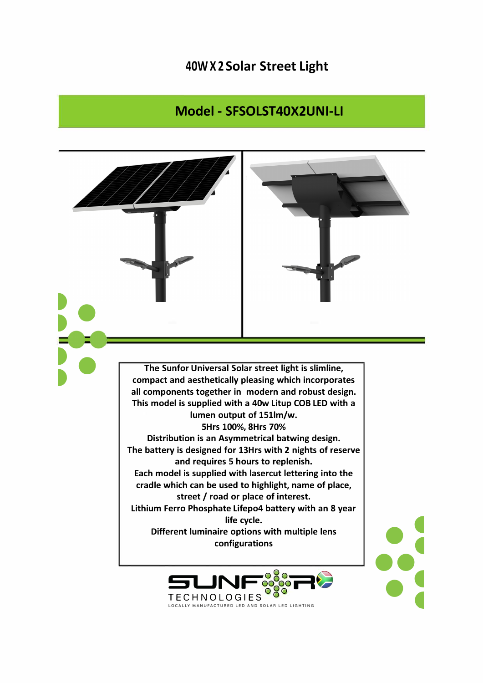## 40W X 2 Solar Street Light

## Model - SFSOLST40X2UNI-LI